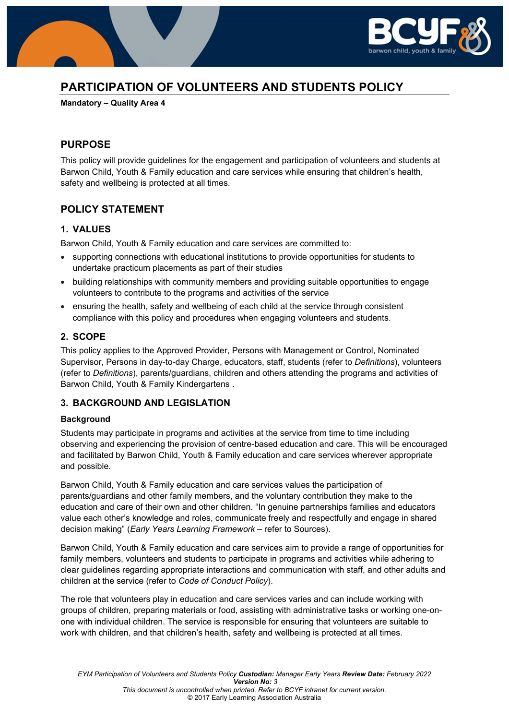

# **PARTICIPATION OF VOLUNTEERS AND STUDENTS POLICY**

**Mandatory – Quality Area 4** 

### **PURPOSE**

This policy will provide guidelines for the engagement and participation of volunteers and students at Barwon Child, Youth & Family education and care services while ensuring that children's health, safety and wellbeing is protected at all times.

### **POLICY STATEMENT**

### **1. VALUES**

Barwon Child, Youth & Family education and care services are committed to:

- supporting connections with educational institutions to provide opportunities for students to undertake practicum placements as part of their studies
- building relationships with community members and providing suitable opportunities to engage volunteers to contribute to the programs and activities of the service
- ensuring the health, safety and wellbeing of each child at the service through consistent compliance with this policy and procedures when engaging volunteers and students.

### **2. SCOPE**

This policy applies to the Approved Provider, Persons with Management or Control, Nominated Supervisor, Persons in day-to-day Charge, educators, staff, students (refer to *Definitions*), volunteers (refer to *Definitions*), parents/guardians, children and others attending the programs and activities of Barwon Child, Youth & Family Kindergartens .

### **3. BACKGROUND AND LEGISLATION**

#### **Background**

Students may participate in programs and activities at the service from time to time including observing and experiencing the provision of centre-based education and care. This will be encouraged and facilitated by Barwon Child, Youth & Family education and care services wherever appropriate and possible.

Barwon Child, Youth & Family education and care services values the participation of parents/guardians and other family members, and the voluntary contribution they make to the education and care of their own and other children. "In genuine partnerships families and educators value each other's knowledge and roles, communicate freely and respectfully and engage in shared decision making" (*Early Years Learning Framework –* refer to Sources).

Barwon Child, Youth & Family education and care services aim to provide a range of opportunities for family members, volunteers and students to participate in programs and activities while adhering to clear guidelines regarding appropriate interactions and communication with staff, and other adults and children at the service (refer to *Code of Conduct Policy*).

The role that volunteers play in education and care services varies and can include working with groups of children, preparing materials or food, assisting with administrative tasks or working one-onone with individual children. The service is responsible for ensuring that volunteers are suitable to work with children, and that children's health, safety and wellbeing is protected at all times.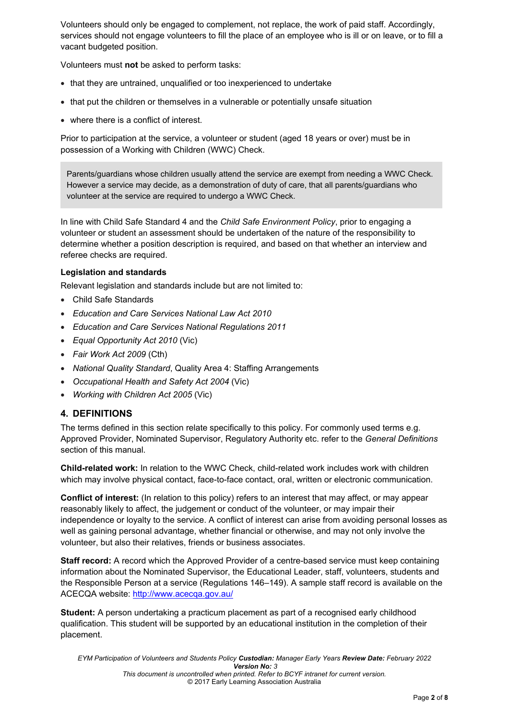Volunteers should only be engaged to complement, not replace, the work of paid staff. Accordingly, services should not engage volunteers to fill the place of an employee who is ill or on leave, or to fill a vacant budgeted position.

Volunteers must **not** be asked to perform tasks:

- that they are untrained, unqualified or too inexperienced to undertake
- that put the children or themselves in a vulnerable or potentially unsafe situation
- where there is a conflict of interest.

Prior to participation at the service, a volunteer or student (aged 18 years or over) must be in possession of a Working with Children (WWC) Check.

Parents/guardians whose children usually attend the service are exempt from needing a WWC Check. However a service may decide, as a demonstration of duty of care, that all parents/guardians who volunteer at the service are required to undergo a WWC Check.

In line with Child Safe Standard 4 and the *Child Safe Environment Policy*, prior to engaging a volunteer or student an assessment should be undertaken of the nature of the responsibility to determine whether a position description is required, and based on that whether an interview and referee checks are required.

### **Legislation and standards**

Relevant legislation and standards include but are not limited to:

- Child Safe Standards
- *Education and Care Services National Law Act 2010*
- *Education and Care Services National Regulations 2011*
- *Equal Opportunity Act 2010* (Vic)
- *Fair Work Act 2009* (Cth)
- *National Quality Standard*, Quality Area 4: Staffing Arrangements
- *Occupational Health and Safety Act 2004* (Vic)
- *Working with Children Act 2005* (Vic)

### **4. DEFINITIONS**

The terms defined in this section relate specifically to this policy. For commonly used terms e.g. Approved Provider, Nominated Supervisor, Regulatory Authority etc. refer to the *General Definitions* section of this manual.

**Child-related work:** In relation to the WWC Check, child-related work includes work with children which may involve physical contact, face-to-face contact, oral, written or electronic communication.

**Conflict of interest:** (In relation to this policy) refers to an interest that may affect, or may appear reasonably likely to affect, the judgement or conduct of the volunteer, or may impair their independence or loyalty to the service. A conflict of interest can arise from avoiding personal losses as well as gaining personal advantage, whether financial or otherwise, and may not only involve the volunteer, but also their relatives, friends or business associates.

**Staff record:** A record which the Approved Provider of a centre-based service must keep containing information about the Nominated Supervisor, the Educational Leader, staff, volunteers, students and the Responsible Person at a service (Regulations 146–149). A sample staff record is available on the ACECQA website: http://www.acecqa.gov.au/

**Student:** A person undertaking a practicum placement as part of a recognised early childhood qualification. This student will be supported by an educational institution in the completion of their placement.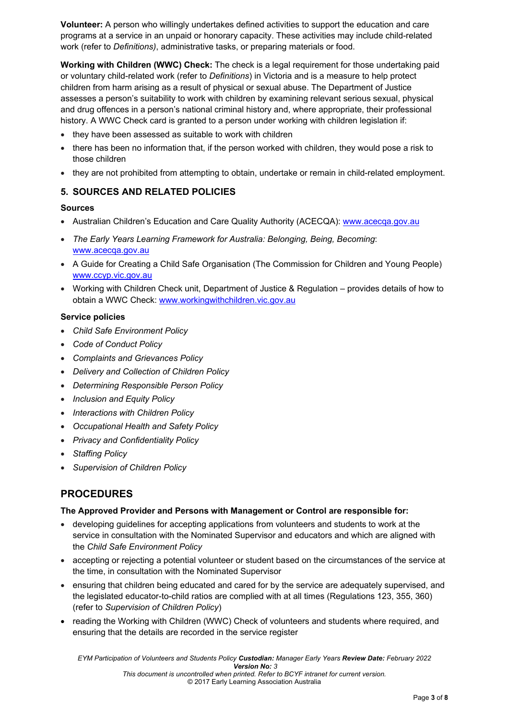**Volunteer:** A person who willingly undertakes defined activities to support the education and care programs at a service in an unpaid or honorary capacity. These activities may include child-related work (refer to *Definitions)*, administrative tasks, or preparing materials or food.

**Working with Children (WWC) Check:** The check is a legal requirement for those undertaking paid or voluntary child-related work (refer to *Definitions*) in Victoria and is a measure to help protect children from harm arising as a result of physical or sexual abuse. The Department of Justice assesses a person's suitability to work with children by examining relevant serious sexual, physical and drug offences in a person's national criminal history and, where appropriate, their professional history. A WWC Check card is granted to a person under working with children legislation if:

- they have been assessed as suitable to work with children
- there has been no information that, if the person worked with children, they would pose a risk to those children
- they are not prohibited from attempting to obtain, undertake or remain in child-related employment.

### **5. SOURCES AND RELATED POLICIES**

### **Sources**

- Australian Children's Education and Care Quality Authority (ACECQA): www.acecga.gov.au
- *The Early Years Learning Framework for Australia: Belonging, Being, Becoming*: www.acecqa.gov.au
- A Guide for Creating a Child Safe Organisation (The Commission for Children and Young People) www.ccyp.vic.gov.au
- Working with Children Check unit, Department of Justice & Regulation provides details of how to obtain a WWC Check: www.workingwithchildren.vic.gov.au

### **Service policies**

- *Child Safe Environment Policy*
- *Code of Conduct Policy*
- *Complaints and Grievances Policy*
- *Delivery and Collection of Children Policy*
- *Determining Responsible Person Policy*
- *Inclusion and Equity Policy*
- *Interactions with Children Policy*
- *Occupational Health and Safety Policy*
- *Privacy and Confidentiality Policy*
- *Staffing Policy*
- *Supervision of Children Policy*

# **PROCEDURES**

#### **The Approved Provider and Persons with Management or Control are responsible for:**

- developing guidelines for accepting applications from volunteers and students to work at the service in consultation with the Nominated Supervisor and educators and which are aligned with the *Child Safe Environment Policy*
- accepting or rejecting a potential volunteer or student based on the circumstances of the service at the time, in consultation with the Nominated Supervisor
- ensuring that children being educated and cared for by the service are adequately supervised, and the legislated educator-to-child ratios are complied with at all times (Regulations 123, 355, 360) (refer to *Supervision of Children Policy*)
- reading the Working with Children (WWC) Check of volunteers and students where required, and ensuring that the details are recorded in the service register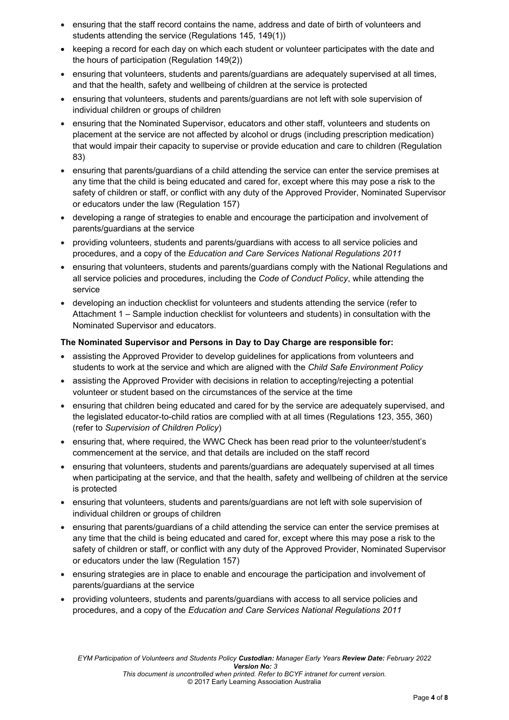- ensuring that the staff record contains the name, address and date of birth of volunteers and students attending the service (Regulations 145, 149(1))
- keeping a record for each day on which each student or volunteer participates with the date and the hours of participation (Regulation 149(2))
- ensuring that volunteers, students and parents/guardians are adequately supervised at all times, and that the health, safety and wellbeing of children at the service is protected
- ensuring that volunteers, students and parents/guardians are not left with sole supervision of individual children or groups of children
- ensuring that the Nominated Supervisor, educators and other staff, volunteers and students on placement at the service are not affected by alcohol or drugs (including prescription medication) that would impair their capacity to supervise or provide education and care to children (Regulation 83)
- ensuring that parents/guardians of a child attending the service can enter the service premises at any time that the child is being educated and cared for, except where this may pose a risk to the safety of children or staff, or conflict with any duty of the Approved Provider, Nominated Supervisor or educators under the law (Regulation 157)
- developing a range of strategies to enable and encourage the participation and involvement of parents/guardians at the service
- providing volunteers, students and parents/guardians with access to all service policies and procedures, and a copy of the *Education and Care Services National Regulations 2011*
- ensuring that volunteers, students and parents/guardians comply with the National Regulations and all service policies and procedures, including the *Code of Conduct Policy*, while attending the service
- developing an induction checklist for volunteers and students attending the service (refer to Attachment 1 – Sample induction checklist for volunteers and students) in consultation with the Nominated Supervisor and educators.

#### **The Nominated Supervisor and Persons in Day to Day Charge are responsible for:**

- assisting the Approved Provider to develop guidelines for applications from volunteers and students to work at the service and which are aligned with the *Child Safe Environment Policy*
- assisting the Approved Provider with decisions in relation to accepting/rejecting a potential volunteer or student based on the circumstances of the service at the time
- ensuring that children being educated and cared for by the service are adequately supervised, and the legislated educator-to-child ratios are complied with at all times (Regulations 123, 355, 360) (refer to *Supervision of Children Policy*)
- ensuring that, where required, the WWC Check has been read prior to the volunteer/student's commencement at the service, and that details are included on the staff record
- ensuring that volunteers, students and parents/guardians are adequately supervised at all times when participating at the service, and that the health, safety and wellbeing of children at the service is protected
- ensuring that volunteers, students and parents/guardians are not left with sole supervision of individual children or groups of children
- ensuring that parents/guardians of a child attending the service can enter the service premises at any time that the child is being educated and cared for, except where this may pose a risk to the safety of children or staff, or conflict with any duty of the Approved Provider, Nominated Supervisor or educators under the law (Regulation 157)
- ensuring strategies are in place to enable and encourage the participation and involvement of parents/guardians at the service
- providing volunteers, students and parents/guardians with access to all service policies and procedures, and a copy of the *Education and Care Services National Regulations 2011*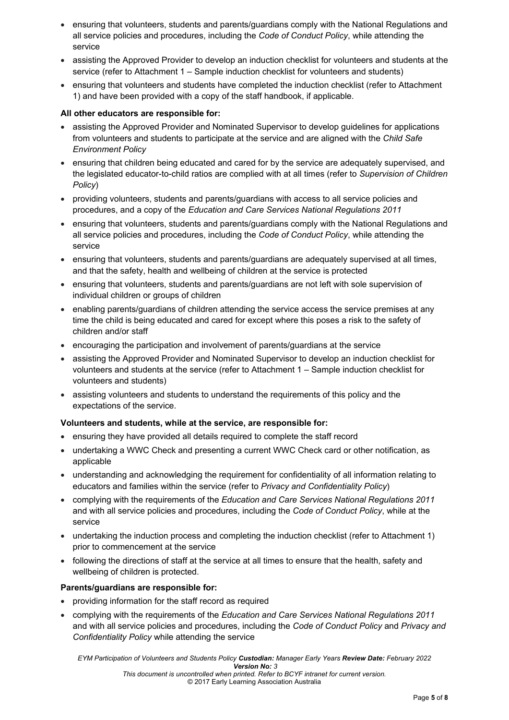- ensuring that volunteers, students and parents/guardians comply with the National Regulations and all service policies and procedures, including the *Code of Conduct Policy*, while attending the service
- assisting the Approved Provider to develop an induction checklist for volunteers and students at the service (refer to Attachment 1 – Sample induction checklist for volunteers and students)
- ensuring that volunteers and students have completed the induction checklist (refer to Attachment 1) and have been provided with a copy of the staff handbook, if applicable.

#### **All other educators are responsible for:**

- assisting the Approved Provider and Nominated Supervisor to develop guidelines for applications from volunteers and students to participate at the service and are aligned with the *Child Safe Environment Policy*
- ensuring that children being educated and cared for by the service are adequately supervised, and the legislated educator-to-child ratios are complied with at all times (refer to *Supervision of Children Policy*)
- providing volunteers, students and parents/guardians with access to all service policies and procedures, and a copy of the *Education and Care Services National Regulations 2011*
- ensuring that volunteers, students and parents/guardians comply with the National Regulations and all service policies and procedures, including the *Code of Conduct Policy*, while attending the service
- ensuring that volunteers, students and parents/guardians are adequately supervised at all times, and that the safety, health and wellbeing of children at the service is protected
- ensuring that volunteers, students and parents/guardians are not left with sole supervision of individual children or groups of children
- enabling parents/guardians of children attending the service access the service premises at any time the child is being educated and cared for except where this poses a risk to the safety of children and/or staff
- encouraging the participation and involvement of parents/guardians at the service
- assisting the Approved Provider and Nominated Supervisor to develop an induction checklist for volunteers and students at the service (refer to Attachment 1 – Sample induction checklist for volunteers and students)
- assisting volunteers and students to understand the requirements of this policy and the expectations of the service.

#### **Volunteers and students, while at the service, are responsible for:**

- ensuring they have provided all details required to complete the staff record
- undertaking a WWC Check and presenting a current WWC Check card or other notification, as applicable
- understanding and acknowledging the requirement for confidentiality of all information relating to educators and families within the service (refer to *Privacy and Confidentiality Policy*)
- complying with the requirements of the *Education and Care Services National Regulations 2011*  and with all service policies and procedures, including the *Code of Conduct Policy*, while at the service
- undertaking the induction process and completing the induction checklist (refer to Attachment 1) prior to commencement at the service
- following the directions of staff at the service at all times to ensure that the health, safety and wellbeing of children is protected.

#### **Parents/guardians are responsible for:**

- providing information for the staff record as required
- complying with the requirements of the *Education and Care Services National Regulations 2011* and with all service policies and procedures, including the *Code of Conduct Policy* and *Privacy and Confidentiality Policy* while attending the service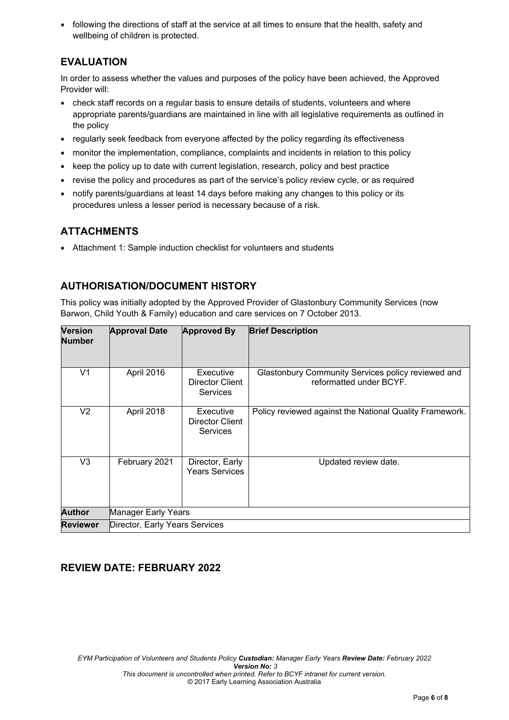• following the directions of staff at the service at all times to ensure that the health, safety and wellbeing of children is protected.

# **EVALUATION**

In order to assess whether the values and purposes of the policy have been achieved, the Approved Provider will:

- check staff records on a regular basis to ensure details of students, volunteers and where appropriate parents/guardians are maintained in line with all legislative requirements as outlined in the policy
- regularly seek feedback from everyone affected by the policy regarding its effectiveness
- monitor the implementation, compliance, complaints and incidents in relation to this policy
- keep the policy up to date with current legislation, research, policy and best practice
- revise the policy and procedures as part of the service's policy review cycle, or as required
- notify parents/guardians at least 14 days before making any changes to this policy or its procedures unless a lesser period is necessary because of a risk.

# **ATTACHMENTS**

Attachment 1: Sample induction checklist for volunteers and students

# **AUTHORISATION/DOCUMENT HISTORY**

This policy was initially adopted by the Approved Provider of Glastonbury Community Services (now Barwon, Child Youth & Family) education and care services on 7 October 2013.

| <b>Version</b><br><b>Number</b> | <b>Approval Date</b>           | <b>Approved By</b>                                     | <b>Brief Description</b>                                                      |
|---------------------------------|--------------------------------|--------------------------------------------------------|-------------------------------------------------------------------------------|
| V1                              | April 2016                     | Executive<br><b>Director Client</b><br><b>Services</b> | Glastonbury Community Services policy reviewed and<br>reformatted under BCYF. |
| V2                              | April 2018                     | Executive<br><b>Director Client</b><br><b>Services</b> | Policy reviewed against the National Quality Framework.                       |
| V3                              | February 2021                  | Director, Early<br><b>Years Services</b>               | Updated review date.                                                          |
| <b>Author</b>                   | Manager Early Years            |                                                        |                                                                               |
| <b>Reviewer</b>                 | Director, Early Years Services |                                                        |                                                                               |

# **REVIEW DATE: FEBRUARY 2022**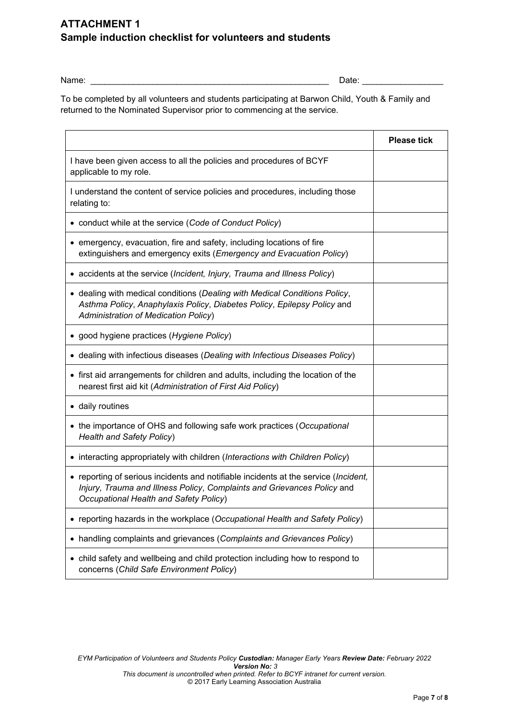# **ATTACHMENT 1 Sample induction checklist for volunteers and students**

Name: \_\_\_\_\_\_\_\_\_\_\_\_\_\_\_\_\_\_\_\_\_\_\_\_\_\_\_\_\_\_\_\_\_\_\_\_\_\_\_\_\_\_\_\_\_\_\_\_\_\_ Date: \_\_\_\_\_\_\_\_\_\_\_\_\_\_\_\_\_

To be completed by all volunteers and students participating at Barwon Child, Youth & Family and returned to the Nominated Supervisor prior to commencing at the service.

|                                                                                                                                                                                                          | <b>Please tick</b> |
|----------------------------------------------------------------------------------------------------------------------------------------------------------------------------------------------------------|--------------------|
| I have been given access to all the policies and procedures of BCYF<br>applicable to my role.                                                                                                            |                    |
| I understand the content of service policies and procedures, including those<br>relating to:                                                                                                             |                    |
| • conduct while at the service (Code of Conduct Policy)                                                                                                                                                  |                    |
| • emergency, evacuation, fire and safety, including locations of fire<br>extinguishers and emergency exits (Emergency and Evacuation Policy)                                                             |                    |
| • accidents at the service (Incident, Injury, Trauma and Illness Policy)                                                                                                                                 |                    |
| • dealing with medical conditions (Dealing with Medical Conditions Policy,<br>Asthma Policy, Anaphylaxis Policy, Diabetes Policy, Epilepsy Policy and<br><b>Administration of Medication Policy)</b>     |                    |
| • good hygiene practices (Hygiene Policy)                                                                                                                                                                |                    |
| • dealing with infectious diseases (Dealing with Infectious Diseases Policy)                                                                                                                             |                    |
| • first aid arrangements for children and adults, including the location of the<br>nearest first aid kit (Administration of First Aid Policy)                                                            |                    |
| • daily routines                                                                                                                                                                                         |                    |
| • the importance of OHS and following safe work practices (Occupational<br><b>Health and Safety Policy)</b>                                                                                              |                    |
| • interacting appropriately with children (Interactions with Children Policy)                                                                                                                            |                    |
| • reporting of serious incidents and notifiable incidents at the service (Incident,<br>Injury, Trauma and Illness Policy, Complaints and Grievances Policy and<br>Occupational Health and Safety Policy) |                    |
| • reporting hazards in the workplace (Occupational Health and Safety Policy)                                                                                                                             |                    |
| handling complaints and grievances (Complaints and Grievances Policy)<br>$\bullet$                                                                                                                       |                    |
| • child safety and wellbeing and child protection including how to respond to<br>concerns (Child Safe Environment Policy)                                                                                |                    |